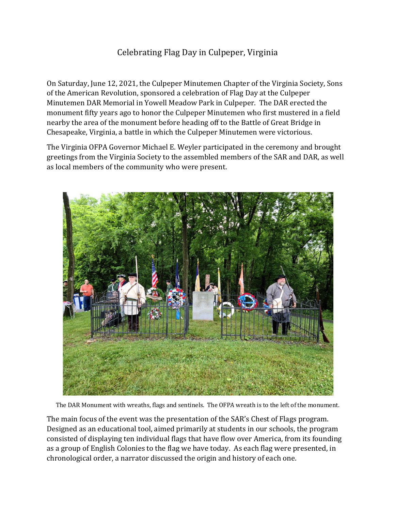## Celebrating Flag Day in Culpeper, Virginia

On Saturday, June 12, 2021, the Culpeper Minutemen Chapter of the Virginia Society, Sons of the American Revolution, sponsored a celebration of Flag Day at the Culpeper Minutemen DAR Memorial in Yowell Meadow Park in Culpeper. The DAR erected the monument fifty years ago to honor the Culpeper Minutemen who first mustered in a field nearby the area of the monument before heading off to the Battle of Great Bridge in Chesapeake, Virginia, a battle in which the Culpeper Minutemen were victorious.

The Virginia OFPA Governor Michael E. Weyler participated in the ceremony and brought greetings from the Virginia Society to the assembled members of the SAR and DAR, as well as local members of the community who were present.



The DAR Monument with wreaths, flags and sentinels. The OFPA wreath is to the left of the monument.

The main focus of the event was the presentation of the SAR's Chest of Flags program. Designed as an educational tool, aimed primarily at students in our schools, the program consisted of displaying ten individual flags that have flow over America, from its founding as a group of English Colonies to the flag we have today. As each flag were presented, in chronological order, a narrator discussed the origin and history of each one.